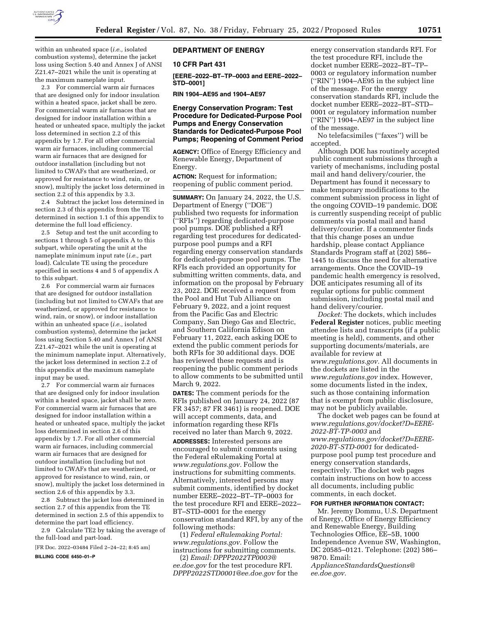

within an unheated space (*i.e.,* isolated combustion systems), determine the jacket loss using Section 5.40 and Annex J of ANSI Z21.47–2021 while the unit is operating at the maximum nameplate input.

2.3 For commercial warm air furnaces that are designed only for indoor insulation within a heated space, jacket shall be zero. For commercial warm air furnaces that are designed for indoor installation within a heated or unheated space, multiply the jacket loss determined in section 2.2 of this appendix by 1.7. For all other commercial warm air furnaces, including commercial warm air furnaces that are designed for outdoor installation (including but not limited to CWAFs that are weatherized, or approved for resistance to wind, rain, or snow), multiply the jacket loss determined in section 2.2 of this appendix by 3.3.

2.4 Subtract the jacket loss determined in section 2.3 of this appendix from the TE determined in section 1.1 of this appendix to determine the full load efficiency.

2.5 Setup and test the unit according to sections 1 through 5 of appendix A to this subpart, while operating the unit at the nameplate minimum input rate (*i.e.,* part load). Calculate TE using the procedure specified in sections 4 and 5 of appendix A to this subpart.

2.6 For commercial warm air furnaces that are designed for outdoor installation (including but not limited to CWAFs that are weatherized, or approved for resistance to wind, rain, or snow), or indoor installation within an unheated space (*i.e.,* isolated combustion systems), determine the jacket loss using Section 5.40 and Annex J of ANSI Z21.47–2021 while the unit is operating at the minimum nameplate input. Alternatively, the jacket loss determined in section 2.2 of this appendix at the maximum nameplate input may be used.

2.7 For commercial warm air furnaces that are designed only for indoor insulation within a heated space, jacket shall be zero. For commercial warm air furnaces that are designed for indoor installation within a heated or unheated space, multiply the jacket loss determined in section 2.6 of this appendix by 1.7. For all other commercial warm air furnaces, including commercial warm air furnaces that are designed for outdoor installation (including but not limited to CWAFs that are weatherized, or approved for resistance to wind, rain, or snow), multiply the jacket loss determined in section 2.6 of this appendix by 3.3.

2.8 Subtract the jacket loss determined in section 2.7 of this appendix from the TE determined in section 2.5 of this appendix to determine the part load efficiency.

2.9 Calculate TE2 by taking the average of the full-load and part-load.

[FR Doc. 2022–03484 Filed 2–24–22; 8:45 am]

**BILLING CODE 6450–01–P** 

# **DEPARTMENT OF ENERGY**

### **10 CFR Part 431**

**[EERE–2022–BT–TP–0003 and EERE–2022– STD–0001]** 

**RIN 1904–AE95 and 1904–AE97** 

## **Energy Conservation Program: Test Procedure for Dedicated-Purpose Pool Pumps and Energy Conservation Standards for Dedicated-Purpose Pool Pumps; Reopening of Comment Period**

**AGENCY:** Office of Energy Efficiency and Renewable Energy, Department of Energy.

**ACTION:** Request for information; reopening of public comment period.

**SUMMARY:** On January 24, 2022, the U.S. Department of Energy (''DOE'') published two requests for information (''RFIs'') regarding dedicated-purpose pool pumps. DOE published a RFI regarding test procedures for dedicatedpurpose pool pumps and a RFI regarding energy conservation standards for dedicated-purpose pool pumps. The RFIs each provided an opportunity for submitting written comments, data, and information on the proposal by February 23, 2022. DOE received a request from the Pool and Hut Tub Alliance on February 9, 2022, and a joint request from the Pacific Gas and Electric Company, San Diego Gas and Electric, and Southern California Edison on February 11, 2022, each asking DOE to extend the public comment periods for both RFIs for 30 additional days. DOE has reviewed these requests and is reopening the public comment periods to allow comments to be submitted until March 9, 2022.

**DATES:** The comment periods for the RFIs published on January 24, 2022 (87 FR 3457; 87 FR 3461) is reopened. DOE will accept comments, data, and information regarding these RFIs received no later than March 9, 2022.

**ADDRESSES:** Interested persons are encouraged to submit comments using the Federal eRulemaking Portal at *[www.regulations.gov.](http://www.regulations.gov)* Follow the instructions for submitting comments. Alternatively, interested persons may submit comments, identified by docket number EERE–2022–BT–TP–0003 for the test procedure RFI and EERE–2022– BT–STD–0001 for the energy conservation standard RFI, by any of the following methods:

(1) *Federal eRulemaking Portal: [www.regulations.gov.](http://www.regulations.gov)* Follow the instructions for submitting comments.

(2) *Email: [DPPP2022TP0003@](mailto:DPPP2022TP0003@ee.doe.gov) [ee.doe.gov](mailto:DPPP2022TP0003@ee.doe.gov)* for the test procedure RFI. *[DPPP2022STD0001@ee.doe.gov](mailto:DPPP2022STD0001@ee.doe.gov)* for the

energy conservation standards RFI. For the test procedure RFI, include the docket number EERE–2022–BT–TP– 0003 or regulatory information number (''RIN'') 1904–AE95 in the subject line of the message. For the energy conservation standards RFI, include the docket number EERE–2022–BT–STD– 0001 or regulatory information number (''RIN'') 1904–AE97 in the subject line of the message.

No telefacsimiles (''faxes'') will be accepted.

Although DOE has routinely accepted public comment submissions through a variety of mechanisms, including postal mail and hand delivery/courier, the Department has found it necessary to make temporary modifications to the comment submission process in light of the ongoing COVID–19 pandemic. DOE is currently suspending receipt of public comments via postal mail and hand delivery/courier. If a commenter finds that this change poses an undue hardship, please contact Appliance Standards Program staff at (202) 586– 1445 to discuss the need for alternative arrangements. Once the COVID–19 pandemic health emergency is resolved, DOE anticipates resuming all of its regular options for public comment submission, including postal mail and hand delivery/courier.

*Docket:* The dockets, which includes **Federal Register** notices, public meeting attendee lists and transcripts (if a public meeting is held), comments, and other supporting documents/materials, are available for review at *[www.regulations.gov.](http://www.regulations.gov)* All documents in the dockets are listed in the *[www.regulations.gov](http://www.regulations.gov)* index. However, some documents listed in the index, such as those containing information that is exempt from public disclosure, may not be publicly available.

The docket web pages can be found at *[www.regulations.gov/docket?D=EERE-](http://www.regulations.gov/docket?D=EERE-2022-BT-TP-0003)[2022-BT-TP-0003](http://www.regulations.gov/docket?D=EERE-2022-BT-TP-0003)* and *[www.regulations.gov/docket?D=EERE-](http://www.regulations.gov/docket?D=EERE-2020-BT-STD-0001)[2020-BT-STD-0001](http://www.regulations.gov/docket?D=EERE-2020-BT-STD-0001)* for dedicatedpurpose pool pump test procedure and energy conservation standards, respectively. The docket web pages contain instructions on how to access all documents, including public comments, in each docket.

#### **FOR FURTHER INFORMATION CONTACT:**

Mr. Jeremy Dommu, U.S. Department of Energy, Office of Energy Efficiency and Renewable Energy, Building Technologies Office, EE–5B, 1000 Independence Avenue SW, Washington, DC 20585–0121. Telephone: (202) 586– 9870. Email:

*[ApplianceStandardsQuestions@](mailto:ApplianceStandardsQuestions@ee.doe.gov) [ee.doe.gov.](mailto:ApplianceStandardsQuestions@ee.doe.gov)*